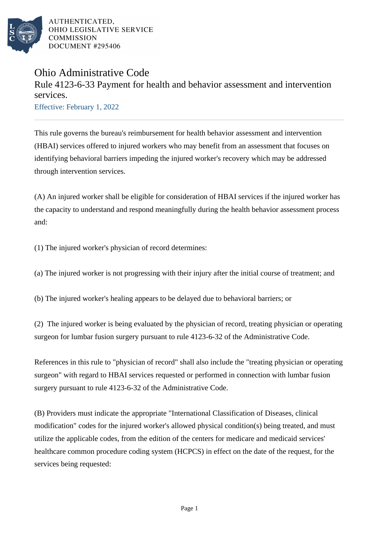

## Ohio Administrative Code

Rule 4123-6-33 Payment for health and behavior assessment and intervention services.

Effective: February 1, 2022

This rule governs the bureau's reimbursement for health behavior assessment and intervention (HBAI) services offered to injured workers who may benefit from an assessment that focuses on identifying behavioral barriers impeding the injured worker's recovery which may be addressed through intervention services.

(A) An injured worker shall be eligible for consideration of HBAI services if the injured worker has the capacity to understand and respond meaningfully during the health behavior assessment process and:

(1) The injured worker's physician of record determines:

(a) The injured worker is not progressing with their injury after the initial course of treatment; and

(b) The injured worker's healing appears to be delayed due to behavioral barriers; or

(2) The injured worker is being evaluated by the physician of record, treating physician or operating surgeon for lumbar fusion surgery pursuant to rule 4123-6-32 of the Administrative Code.

References in this rule to "physician of record" shall also include the "treating physician or operating surgeon" with regard to HBAI services requested or performed in connection with lumbar fusion surgery pursuant to rule 4123-6-32 of the Administrative Code.

(B) Providers must indicate the appropriate "International Classification of Diseases, clinical modification" codes for the injured worker's allowed physical condition(s) being treated, and must utilize the applicable codes, from the edition of the centers for medicare and medicaid services' healthcare common procedure coding system (HCPCS) in effect on the date of the request, for the services being requested: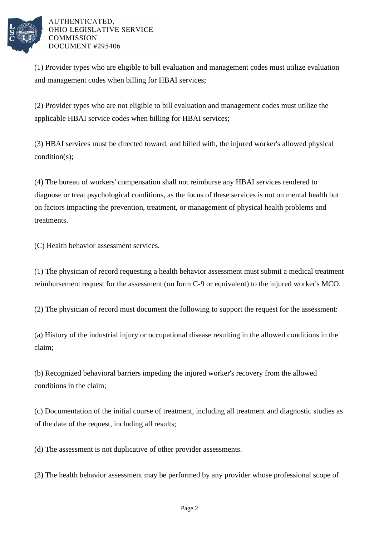

(1) Provider types who are eligible to bill evaluation and management codes must utilize evaluation and management codes when billing for HBAI services;

(2) Provider types who are not eligible to bill evaluation and management codes must utilize the applicable HBAI service codes when billing for HBAI services;

(3) HBAI services must be directed toward, and billed with, the injured worker's allowed physical condition(s);

(4) The bureau of workers' compensation shall not reimburse any HBAI services rendered to diagnose or treat psychological conditions, as the focus of these services is not on mental health but on factors impacting the prevention, treatment, or management of physical health problems and treatments.

(C) Health behavior assessment services.

(1) The physician of record requesting a health behavior assessment must submit a medical treatment reimbursement request for the assessment (on form C-9 or equivalent) to the injured worker's MCO.

(2) The physician of record must document the following to support the request for the assessment:

(a) History of the industrial injury or occupational disease resulting in the allowed conditions in the claim;

(b) Recognized behavioral barriers impeding the injured worker's recovery from the allowed conditions in the claim;

(c) Documentation of the initial course of treatment, including all treatment and diagnostic studies as of the date of the request, including all results;

(d) The assessment is not duplicative of other provider assessments.

(3) The health behavior assessment may be performed by any provider whose professional scope of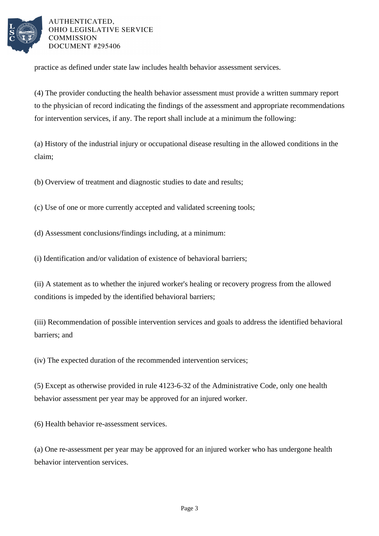

practice as defined under state law includes health behavior assessment services.

(4) The provider conducting the health behavior assessment must provide a written summary report to the physician of record indicating the findings of the assessment and appropriate recommendations for intervention services, if any. The report shall include at a minimum the following:

(a) History of the industrial injury or occupational disease resulting in the allowed conditions in the claim;

(b) Overview of treatment and diagnostic studies to date and results;

(c) Use of one or more currently accepted and validated screening tools;

(d) Assessment conclusions/findings including, at a minimum:

(i) Identification and/or validation of existence of behavioral barriers;

(ii) A statement as to whether the injured worker's healing or recovery progress from the allowed conditions is impeded by the identified behavioral barriers;

(iii) Recommendation of possible intervention services and goals to address the identified behavioral barriers; and

(iv) The expected duration of the recommended intervention services;

(5) Except as otherwise provided in rule 4123-6-32 of the Administrative Code, only one health behavior assessment per year may be approved for an injured worker.

(6) Health behavior re-assessment services.

(a) One re-assessment per year may be approved for an injured worker who has undergone health behavior intervention services.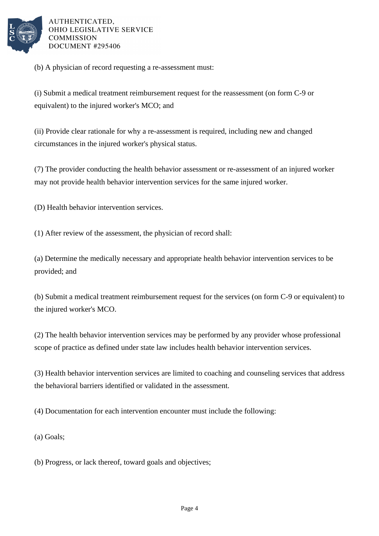

(b) A physician of record requesting a re-assessment must:

(i) Submit a medical treatment reimbursement request for the reassessment (on form C-9 or equivalent) to the injured worker's MCO; and

(ii) Provide clear rationale for why a re-assessment is required, including new and changed circumstances in the injured worker's physical status.

(7) The provider conducting the health behavior assessment or re-assessment of an injured worker may not provide health behavior intervention services for the same injured worker.

(D) Health behavior intervention services.

(1) After review of the assessment, the physician of record shall:

(a) Determine the medically necessary and appropriate health behavior intervention services to be provided; and

(b) Submit a medical treatment reimbursement request for the services (on form C-9 or equivalent) to the injured worker's MCO.

(2) The health behavior intervention services may be performed by any provider whose professional scope of practice as defined under state law includes health behavior intervention services.

(3) Health behavior intervention services are limited to coaching and counseling services that address the behavioral barriers identified or validated in the assessment.

(4) Documentation for each intervention encounter must include the following:

(a) Goals;

(b) Progress, or lack thereof, toward goals and objectives;